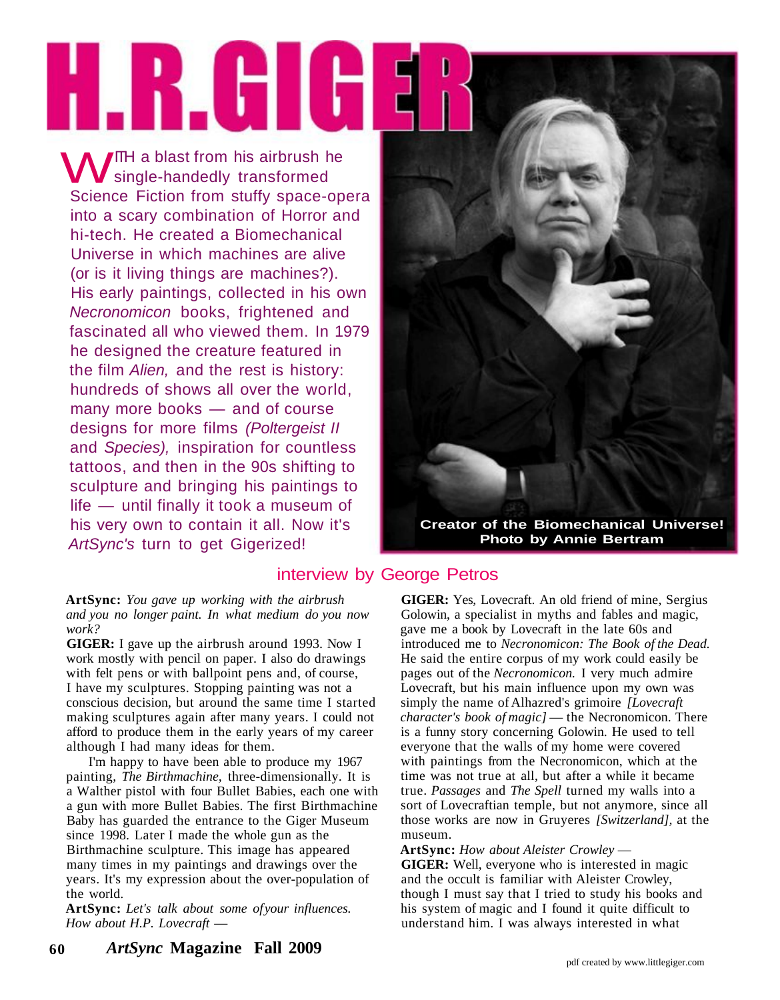# HIRIHIH

ITH a blast from his airbrush he **WE** a blast from his airbrush I Science Fiction from stuffy space-opera into a scary combination of Horror and hi-tech. He created a Biomechanical Universe in which machines are alive (or is it living things are machines?). His early paintings, collected in his own Necronomicon books, frightened and fascinated all who viewed them. In 1979 he designed the creature featured in the film Alien, and the rest is history: hundreds of shows all over the world, many more books — and of course designs for more films (Poltergeist II and Species), inspiration for countless tattoos, and then in the 90s shifting to sculpture and bringing his paintings to life — until finally it took a museum of his very own to contain it all. Now it's ArtSync's turn to get Gigerized!



**Creator of the Biomechanical Universe! Photo by Annie Bertram**

# interview by George Petros

**ArtSync:** *You gave up working with the airbrush and you no longer paint. In what medium do you now work?*

**GIGER:** I gave up the airbrush around 1993. Now I work mostly with pencil on paper. I also do drawings with felt pens or with ballpoint pens and, of course, I have my sculptures. Stopping painting was not a conscious decision, but around the same time I started making sculptures again after many years. I could not afford to produce them in the early years of my career although I had many ideas for them.

I'm happy to have been able to produce my 1967 painting, *The Birthmachine,* three-dimensionally. It is a Walther pistol with four Bullet Babies, each one with a gun with more Bullet Babies. The first Birthmachine Baby has guarded the entrance to the Giger Museum since 1998. Later I made the whole gun as the Birthmachine sculpture. This image has appeared many times in my paintings and drawings over the years. It's my expression about the over-population of the world.

ArtSync: Let's talk about some of your influences. *How about H.P. Lovecraft* —

**GIGER:** Yes, Lovecraft. An old friend of mine, Sergius Golowin, a specialist in myths and fables and magic, gave me a book by Lovecraft in the late 60s and introduced me to *Necronomicon: The Book of the Dead.* He said the entire corpus of my work could easily be pages out of the *Necronomicon.* I very much admire Lovecraft, but his main influence upon my own was simply the name of Alhazred's grimoire *[Lovecraft character's book of magic]* — the Necronomicon. There is a funny story concerning Golowin. He used to tell everyone that the walls of my home were covered with paintings from the Necronomicon, which at the time was not true at all, but after a while it became true. *Passages* and *The Spell* turned my walls into a sort of Lovecraftian temple, but not anymore, since all those works are now in Gruyeres *[Switzerland],* at the museum.

**ArtSync:** *How about Aleister Crowley* — **GIGER:** Well, everyone who is interested in magic and the occult is familiar with Aleister Crowley, though I must say that I tried to study his books and his system of magic and I found it quite difficult to understand him. I was always interested in what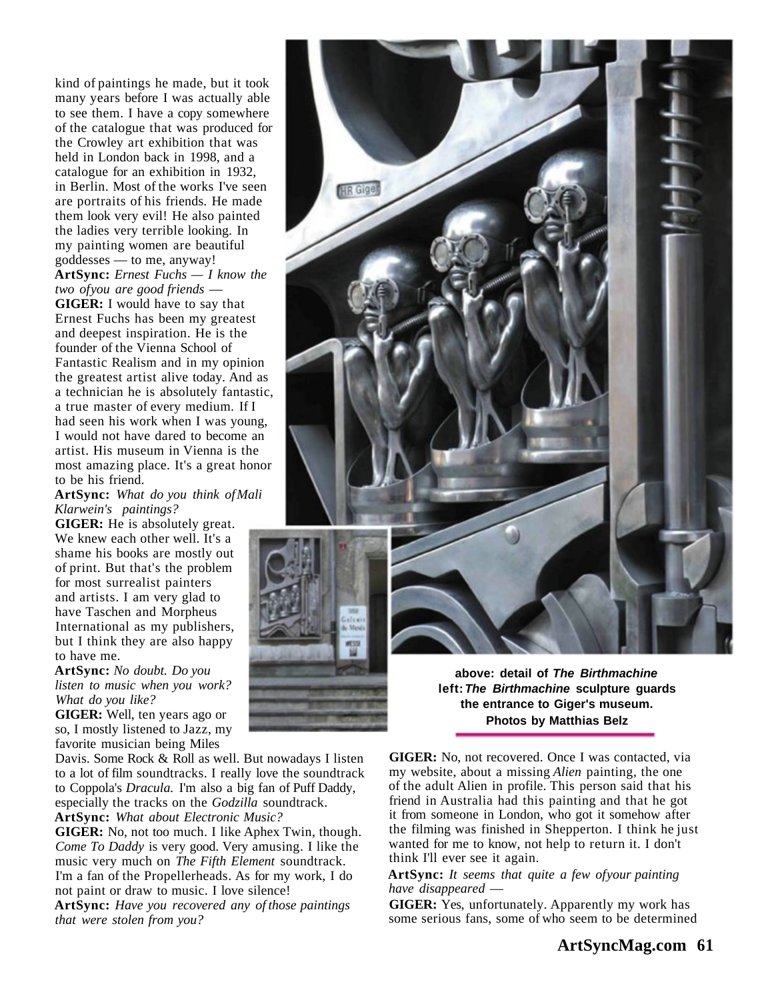kind of paintings he made, but it took many years before I was actually able to see them. I have a copy somewhere of the catalogue that was produced for the Crowley art exhibition that was held in London back in 1998, and a catalogue for an exhibition in 1932, in Berlin. Most of the works I've seen are portraits of his friends. He made them look very evil! He also painted the ladies very terrible looking. In my painting women are beautiful goddesses — to me, anyway! **ArtSync:** *Ernest Fuchs — I know the two of you are good friends* — **GIGER:** I would have to say that Ernest Fuchs has been my greatest and deepest inspiration. He is the founder of the Vienna School of Fantastic Realism and in my opinion the greatest artist alive today. And as a technician he is absolutely fantastic, a true master of every medium. If I had seen his work when I was young, I would not have dared to become an artist. His museum in Vienna is the most amazing place. It's a great honor to be his friend.

**ArtSync:** *What do you think of Mali Klarwein's paintings?*

**GIGER:** He is absolutely great. We knew each other well. It's a shame his books are mostly out of print. But that's the problem for most surrealist painters and artists. I am very glad to have Taschen and Morpheus International as my publishers, but I think they are also happy to have me.

**ArtSync:** *No doubt. Do you listen to music when you work? What do you like?*

**GIGER:** Well, ten years ago or so, I mostly listened to Jazz, my favorite musician being Miles

Davis. Some Rock & Roll as well. But nowadays I listen to a lot of film soundtracks. I really love the soundtrack to Coppola's *Dracula.* I'm also a big fan of Puff Daddy, especially the tracks on the *Godzilla* soundtrack.

**ArtSync:** *What about Electronic Music?*

**GIGER:** No, not too much. I like Aphex Twin, though. *Come To Daddy* is very good. Very amusing. I like the music very much on *The Fifth Element* soundtrack. I'm a fan of the Propellerheads. As for my work, I do not paint or draw to music. I love silence!

**ArtSync:** *Have you recovered any of those paintings that were stolen from you?*



**above: detail of The Birthmachine left: The Birthmachine sculpture guards the entrance to Giger's museum. Photos by Matthias Belz**

**GIGER:** No, not recovered. Once I was contacted, via my website, about a missing *Alien* painting, the one of the adult Alien in profile. This person said that his friend in Australia had this painting and that he got it from someone in London, who got it somehow after the filming was finished in Shepperton. I think he just wanted for me to know, not help to return it. I don't think I'll ever see it again.

### **ArtSync:** *It seems that quite a few of your painting have disappeared* —

**GIGER:** Yes, unfortunately. Apparently my work has some serious fans, some of who seem to be determined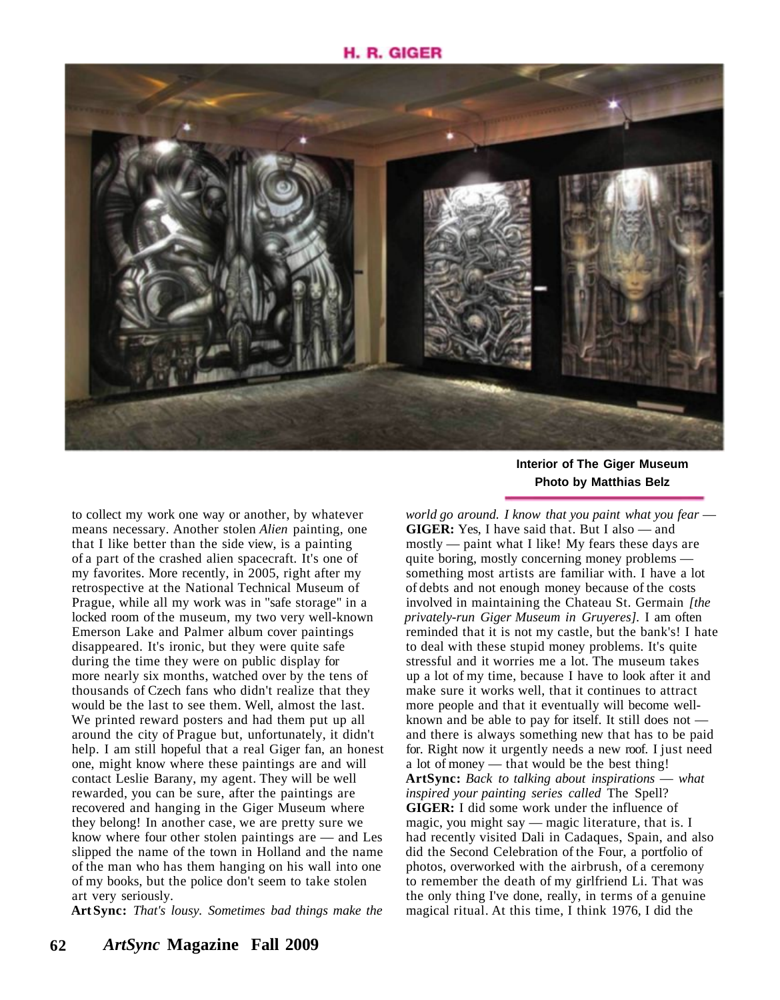# H. R. GIGER



to collect my work one way or another, by whatever means necessary. Another stolen *Alien* painting, one that I like better than the side view, is a painting of a part of the crashed alien spacecraft. It's one of my favorites. More recently, in 2005, right after my retrospective at the National Technical Museum of Prague, while all my work was in "safe storage" in a locked room of the museum, my two very well-known Emerson Lake and Palmer album cover paintings disappeared. It's ironic, but they were quite safe during the time they were on public display for more nearly six months, watched over by the tens of thousands of Czech fans who didn't realize that they would be the last to see them. Well, almost the last. We printed reward posters and had them put up all around the city of Prague but, unfortunately, it didn't help. I am still hopeful that a real Giger fan, an honest one, might know where these paintings are and will contact Leslie Barany, my agent. They will be well rewarded, you can be sure, after the paintings are recovered and hanging in the Giger Museum where they belong! In another case, we are pretty sure we know where four other stolen paintings are — and Les slipped the name of the town in Holland and the name of the man who has them hanging on his wall into one of my books, but the police don't seem to take stolen art very seriously.

**Art Sync:** *That's lousy. Sometimes bad things make the*

## **Interior of The Giger Museum Photo by Matthias Belz**

*world go around. I know that you paint what you fear* — **GIGER:** Yes, I have said that. But I also — and mostly — paint what I like! My fears these days are quite boring, mostly concerning money problems something most artists are familiar with. I have a lot of debts and not enough money because of the costs involved in maintaining the Chateau St. Germain *[the privately-run Giger Museum in Gruyeres].* I am often reminded that it is not my castle, but the bank's! I hate to deal with these stupid money problems. It's quite stressful and it worries me a lot. The museum takes up a lot of my time, because I have to look after it and make sure it works well, that it continues to attract more people and that it eventually will become wellknown and be able to pay for itself. It still does not and there is always something new that has to be paid for. Right now it urgently needs a new roof. I just need a lot of money — that would be the best thing! **ArtSync:** *Back to talking about inspirations* — *what inspired your painting series called* The Spell? **GIGER:** I did some work under the influence of magic, you might say — magic literature, that is. I had recently visited Dali in Cadaques, Spain, and also did the Second Celebration of the Four, a portfolio of photos, overworked with the airbrush, of a ceremony to remember the death of my girlfriend Li. That was the only thing I've done, really, in terms of a genuine magical ritual. At this time, I think 1976, I did the